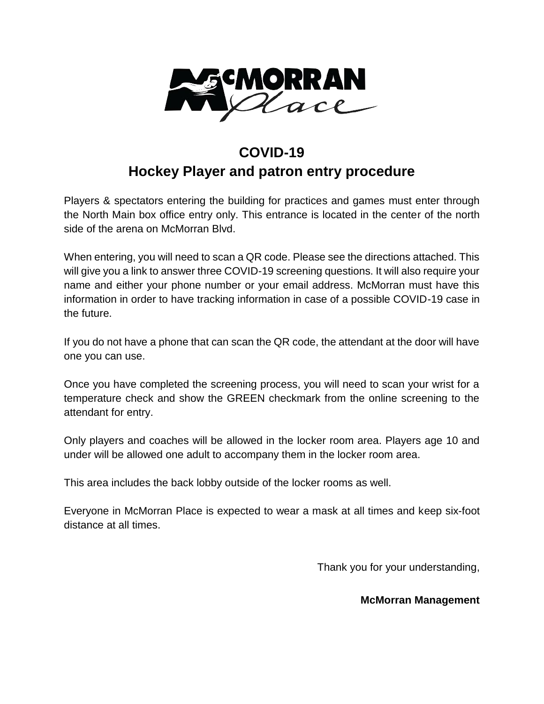

## **COVID-19 Hockey Player and patron entry procedure**

Players & spectators entering the building for practices and games must enter through the North Main box office entry only. This entrance is located in the center of the north side of the arena on McMorran Blvd.

When entering, you will need to scan a QR code. Please see the directions attached. This will give you a link to answer three COVID-19 screening questions. It will also require your name and either your phone number or your email address. McMorran must have this information in order to have tracking information in case of a possible COVID-19 case in the future.

If you do not have a phone that can scan the QR code, the attendant at the door will have one you can use.

Once you have completed the screening process, you will need to scan your wrist for a temperature check and show the GREEN checkmark from the online screening to the attendant for entry.

Only players and coaches will be allowed in the locker room area. Players age 10 and under will be allowed one adult to accompany them in the locker room area.

This area includes the back lobby outside of the locker rooms as well.

Everyone in McMorran Place is expected to wear a mask at all times and keep six-foot distance at all times.

Thank you for your understanding,

## **McMorran Management**